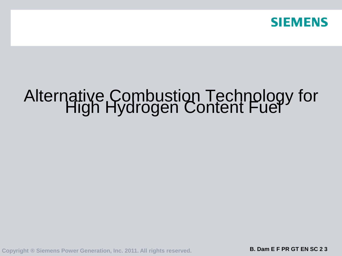

# Alternative Combustion Technology for<br>High Hydrogen Content Fuel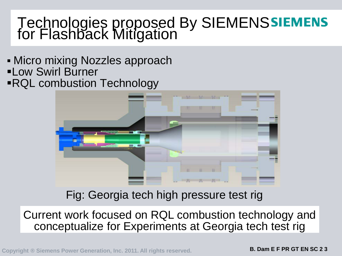# Technologies proposed By SIEMENS for Flashback Mitigation

- **Micro mixing Nozzles approach** Low Swirl Burner
- RQL combustion Technology



Fig: Georgia tech high pressure test rig

Current work focused on RQL combustion technology and conceptualize for Experiments at Georgia tech test rig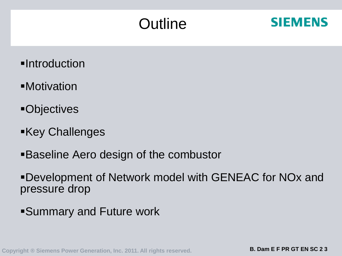# **Outline**



- **-Introduction**
- Motivation
- Objectives
- **Key Challenges**
- Baseline Aero design of the combustor
- Development of Network model with GENEAC for NOx and pressure drop
- Summary and Future work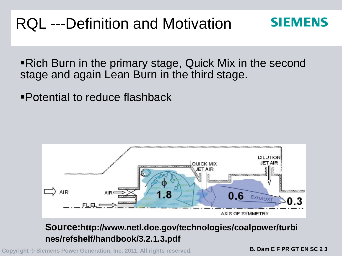# RQL ---Definition and Motivation

**SIEMENS** 

Rich Burn in the primary stage, Quick Mix in the second stage and again Lean Burn in the third stage.

Potential to reduce flashback



### **Source:http://www.netl.doe.gov/technologies/coalpower/turbi nes/refshelf/handbook/3.2.1.3.pdf**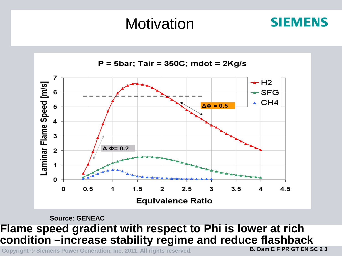# **Motivation**



#### **Source: GENEAC**

### **Flame speed gradient with respect to Phi is lower at rich condition –increase stability regime and reduce flashback**

**Copyright ® Siemens Power Generation, Inc. 2011. All rights reserved. B. Dam E F PR GT EN SC 2 3**

**SIEMENS**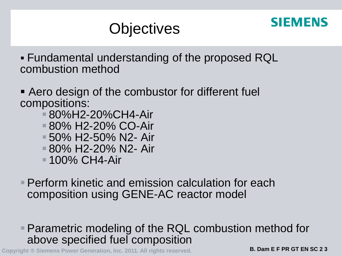

# **Objectives**

 Fundamental understanding of the proposed RQL combustion method

- Aero design of the combustor for different fuel compositions:
	- 80%H2-20%CH4-Air
	- 80% H2-20% CO-Air
	- 50% H2-50% N2- Air
	- 80% H2-20% N2- Air
	- **100% CH4-Air**
- **Perform kinetic and emission calculation for each** composition using GENE-AC reactor model

### Parametric modeling of the RQL combustion method for above specified fuel composition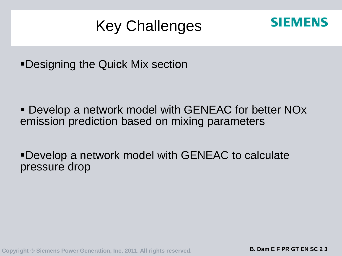# Key Challenges



Designing the Quick Mix section

 Develop a network model with GENEAC for better NOx emission prediction based on mixing parameters

Develop a network model with GENEAC to calculate pressure drop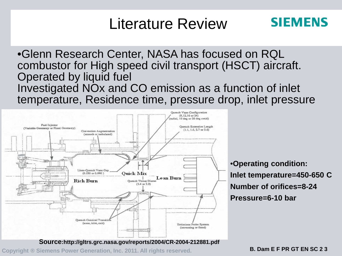# Literature Review

### **SIEMENS**

•Glenn Research Center, NASA has focused on RQL combustor for High speed civil transport (HSCT) aircraft. Operated by liquid fuel Investigated NOx and CO emission as a function of inlet temperature, Residence time, pressure drop, inlet pressure



**Source:http://gltrs.grc.nasa.gov/reports/2004/CR-2004-212881.pdf**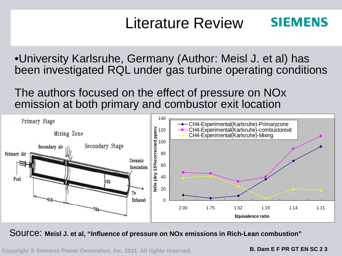### **SIEMENS** Literature Review

•University Karlsruhe, Germany (Author: Meisl J. et al) has been investigated RQL under gas turbine operating conditions

The authors focused on the effect of pressure on NOx emission at both primary and combustor exit location



Source: **Meisl J. et al, "Influence of pressure on NOx emissions in Rich-Lean combustion"**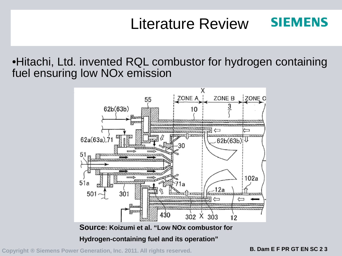### **SIEMENS** Literature Review

•Hitachi, Ltd. invented RQL combustor for hydrogen containing fuel ensuring low NOx emission



**Hydrogen-containing fuel and its operation"**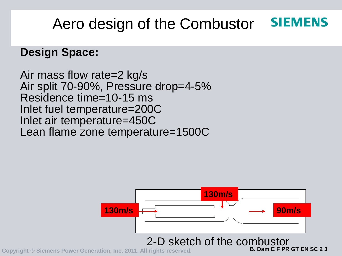### **SIEMENS** Aero design of the Combustor

### **Design Space:**

Air mass flow rate=2 kg/s Air split 70-90%, Pressure drop=4-5% Residence time=10-15 ms Inlet fuel temperature=200C Inlet air temperature=450C Lean flame zone temperature=1500C

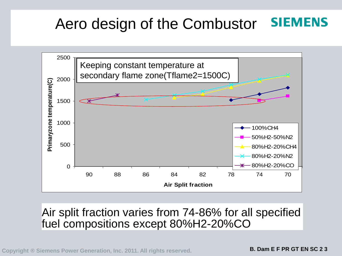### **SIEMENS** Aero design of the Combustor



Air split fraction varies from 74-86% for all specified fuel compositions except 80%H2-20%CO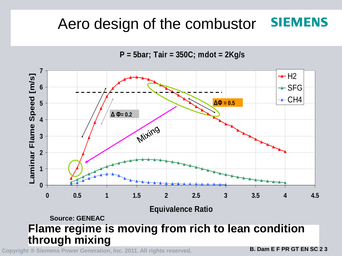# Aero design of the combustor **SIEMENS**

**P = 5bar; Tair = 350C; mdot = 2Kg/s**

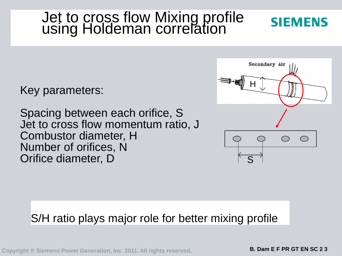### Jet to cross flow Mixing profile using Holdeman correlation

Key parameters:

Spacing between each orifice, S Jet to cross flow momentum ratio, J Combustor diameter, H Number of orifices, N Orifice diameter, D S

# Secondary Air H

**SIEMENS** 

### S/H ratio plays major role for better mixing profile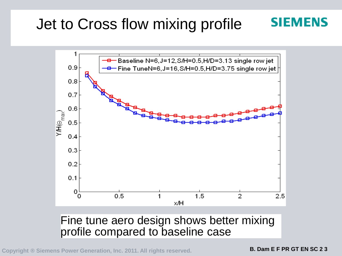### Jet to Cross flow mixing profile **SIEMENS**



### Fine tune aero design shows better mixing profile compared to baseline case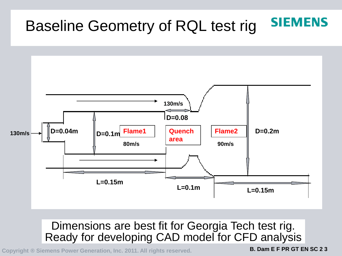### **SIEMENS** Baseline Geometry of RQL test rig



### Dimensions are best fit for Georgia Tech test rig. Ready for developing CAD model for CFD analysis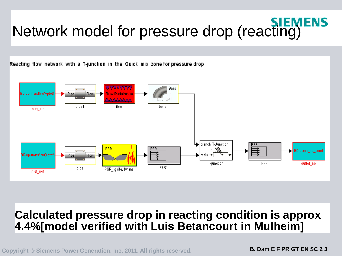# **Network model for pressure drop (reacting)**

Reacting flow network with a T-junction in the Quick mix zone for pressure drop



### **Calculated pressure drop in reacting condition is approx 4.4%[model verified with Luis Betancourt in Mulheim]**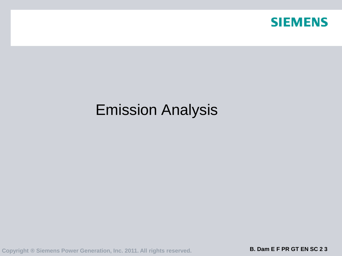

# Emission Analysis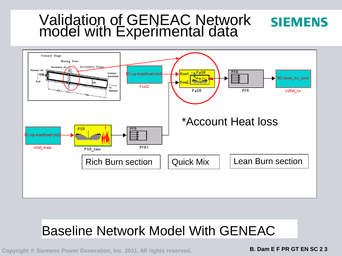# Validation of GENEAC Network model with Experimental data



# Baseline Network Model With GENEAC

**Copyright ® Siemens Power Generation, Inc. 2011. All rights reserved. B. Dam E F PR GT EN SC 2 3**

**SIEMENS**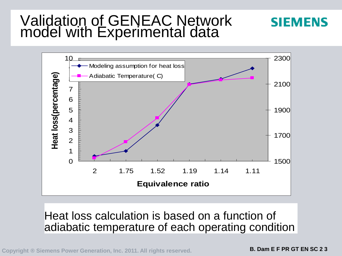# Validation of GENEAC Network model with Experimental data



### Heat loss calculation is based on a function of adiabatic temperature of each operating condition

**Copyright ® Siemens Power Generation, Inc. 2011. All rights reserved. B. Dam E F PR GT EN SC 2 3**

**SIEMENS**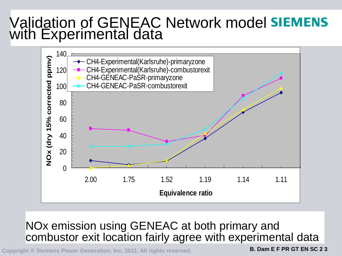# Validation of GENEAC Network model with Experimental data



### NOx emission using GENEAC at both primary and combustor exit location fairly agree with experimental data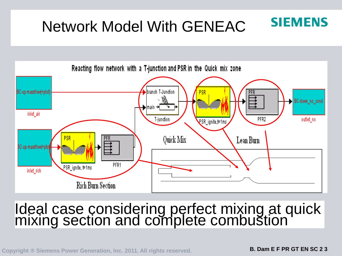### **SIEMENS** Network Model With GENEAC



# Ideal case considering perfect mixing at quick mixing section and complete combustion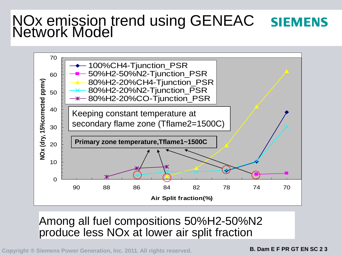### NOx emission trend using GENEAC **SIEMENS** Network Model



### Among all fuel compositions 50%H2-50%N2 produce less NOx at lower air split fraction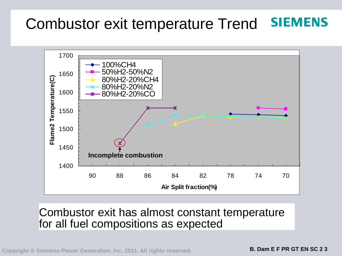#### **SIEMENS** Combustor exit temperature Trend



Combustor exit has almost constant temperature for all fuel compositions as expected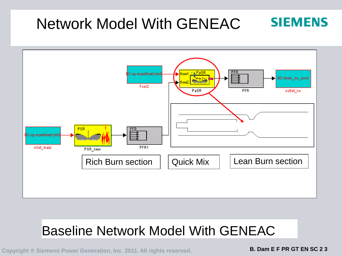# Network Model With GENEAC



# Baseline Network Model With GENEAC

**Copyright ® Siemens Power Generation, Inc. 2011. All rights reserved. B. Dam E F PR GT EN SC 2 3**

**SIEMENS**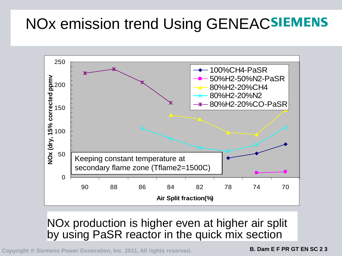# NOx emission trend Using GENEACSIEMENS



### NOx production is higher even at higher air split by using PaSR reactor in the quick mix section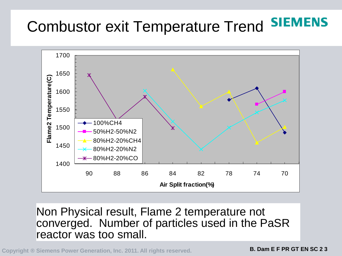# Combustor exit Temperature Trend SIEMENS



Non Physical result, Flame 2 temperature not converged. Number of particles used in the PaSR reactor was too small.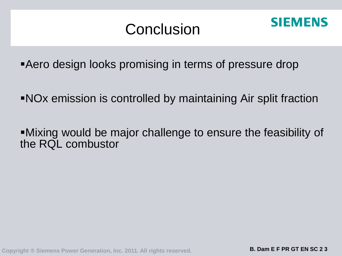# Conclusion



**Aero design looks promising in terms of pressure drop** 

NOx emission is controlled by maintaining Air split fraction

Mixing would be major challenge to ensure the feasibility of the RQL combustor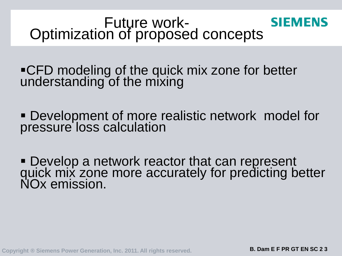### Future work-<br>Optimization of proposed concepts **SIEMENS**

**-CFD modeling of the quick mix zone for better** understanding of the mixing

 Development of more realistic network model for pressure loss calculation

**- Develop a network reactor that can represent** quick mix zone more accurately for predicting better NOx emission.